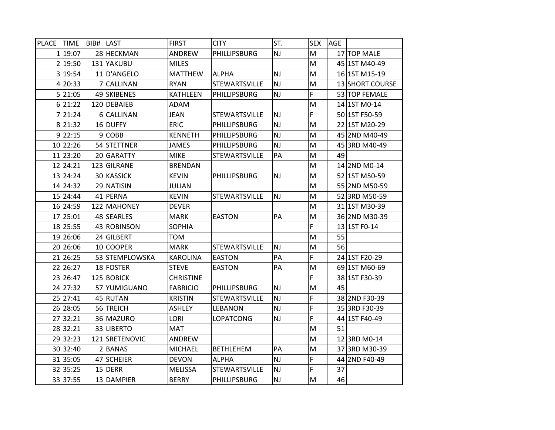| <b>PLACE</b> | <b>TIME</b> | BIB# | LAST             | <b>FIRST</b>     | <b>CITY</b>      | ST.                    | <b>SEX</b>  | <b>AGE</b> |                 |
|--------------|-------------|------|------------------|------------------|------------------|------------------------|-------------|------------|-----------------|
|              | 1 19:07     |      | 28 HECKMAN       | ANDREW           | PHILLIPSBURG     | <b>NJ</b>              | M           |            | 17 TOP MALE     |
|              | 2 19:50     |      | 131 YAKUBU       | <b>MILES</b>     |                  |                        | M           |            | 45 1ST M40-49   |
|              | 3 19:54     |      | 11 D'ANGELO      | <b>MATTHEW</b>   | <b>ALPHA</b>     | <b>NJ</b>              | M           |            | 16 1ST M15-19   |
|              | 4 20:33     |      | 7 CALLINAN       | <b>RYAN</b>      | STEWARTSVILLE    | NJ                     | M           |            | 13 SHORT COURSE |
|              | 5 21:05     |      | 49 SKIBENES      | <b>KATHLEEN</b>  | PHILLIPSBURG     | NJ                     | F           |            | 53 TOP FEMALE   |
|              | 6 21:22     |      | 120 DEBAIEB      | ADAM             |                  |                        | M           |            | 14 1ST M0-14    |
|              | 7 21:24     |      | 6 CALLINAN       | <b>JEAN</b>      | STEWARTSVILLE    | <b>NJ</b>              | $\mathsf F$ |            | 50 1ST F50-59   |
|              | 8 21:32     |      | 16 DUFFY         | <b>ERIC</b>      | PHILLIPSBURG     | NJ                     | M           |            | 22 1ST M20-29   |
|              | 9 22:15     |      | $9$ COBB         | <b>KENNETH</b>   | PHILLIPSBURG     | <b>NJ</b>              | M           |            | 45 2ND M40-49   |
|              | 10 22:26    |      | 54 STETTNER      | <b>JAMES</b>     | PHILLIPSBURG     | $\mathsf{N}\mathsf{J}$ | M           |            | 45 3RD M40-49   |
|              | 11 23:20    |      | 20 GARATTY       | <b>MIKE</b>      | STEWARTSVILLE    | PA                     | M           | 49         |                 |
|              | 12 24:21    |      | 123 GILRANE      | <b>BRENDAN</b>   |                  |                        | M           |            | 14 2ND M0-14    |
|              | 13 24:24    |      | 30 KASSICK       | <b>KEVIN</b>     | PHILLIPSBURG     | <b>NJ</b>              | M           |            | 52 1ST M50-59   |
|              | 14 24:32    |      | 29 NATISIN       | <b>JULIAN</b>    |                  |                        | M           |            | 55 2ND M50-59   |
|              | 15 24:44    |      | 41 PERNA         | <b>KEVIN</b>     | STEWARTSVILLE    | <b>NJ</b>              | M           |            | 52 3RD M50-59   |
|              | 16 24:59    |      | 122 MAHONEY      | <b>DEVER</b>     |                  |                        | M           |            | 31 1ST M30-39   |
|              | 17 25:01    |      | 48 SEARLES       | <b>MARK</b>      | <b>EASTON</b>    | PA                     | M           |            | 36 2ND M30-39   |
|              | 18 25:55    |      | 43 ROBINSON      | <b>SOPHIA</b>    |                  |                        | F           |            | 13 1ST F0-14    |
|              | 19 26:06    |      | 24 GILBERT       | <b>TOM</b>       |                  |                        | M           | 55         |                 |
|              | 20 26:06    |      | 10 COOPER        | <b>MARK</b>      | STEWARTSVILLE    | <b>NJ</b>              | M           | 56         |                 |
|              | 21 26:25    |      | 53 STEMPLOWSKA   | <b>KAROLINA</b>  | <b>EASTON</b>    | PA                     | $\mathsf F$ |            | 24 1ST F20-29   |
|              | 22 26:27    |      | 18 FOSTER        | <b>STEVE</b>     | <b>EASTON</b>    | PA                     | M           |            | 69 1ST M60-69   |
|              | 23 26:47    |      | 125 BOBICK       | <b>CHRISTINE</b> |                  |                        | F           |            | 38 1ST F30-39   |
|              | 24 27:32    |      | 57 YUMIGUANO     | <b>FABRICIO</b>  | PHILLIPSBURG     | <b>NJ</b>              | M           | 45         |                 |
|              | 25 27:41    |      | 45 RUTAN         | <b>KRISTIN</b>   | STEWARTSVILLE    | <b>NJ</b>              | F           |            | 38 2ND F30-39   |
|              | 26 28:05    |      | 56 TREICH        | <b>ASHLEY</b>    | LEBANON          | <b>NJ</b>              | $\mathsf F$ |            | 35 3RD F30-39   |
|              | 27 32:21    |      | 36 MAZURO        | LORI             | <b>LOPATCONG</b> | NJ                     | F           |            | 44 1ST F40-49   |
|              | 28 32:21    |      | 33 LIBERTO       | <b>MAT</b>       |                  |                        | M           | 51         |                 |
|              | 29 32:23    |      | 121 SRETENOVIC   | ANDREW           |                  |                        | M           |            | 12 3RD M0-14    |
|              | 30 32:40    |      | $2$ <b>BANAS</b> | <b>MICHAEL</b>   | <b>BETHLEHEM</b> | PA                     | M           |            | 37 3RD M30-39   |
|              | 31 35:05    |      | 47 SCHEIER       | <b>DEVON</b>     | <b>ALPHA</b>     | NJ                     | F           |            | 44 2ND F40-49   |
|              | 32 35:25    |      | 15 DERR          | <b>MELISSA</b>   | STEWARTSVILLE    | <b>NJ</b>              | F           | 37         |                 |
|              | 33 37:55    |      | 13 DAMPIER       | <b>BERRY</b>     | PHILLIPSBURG     | NJ                     | M           | 46         |                 |